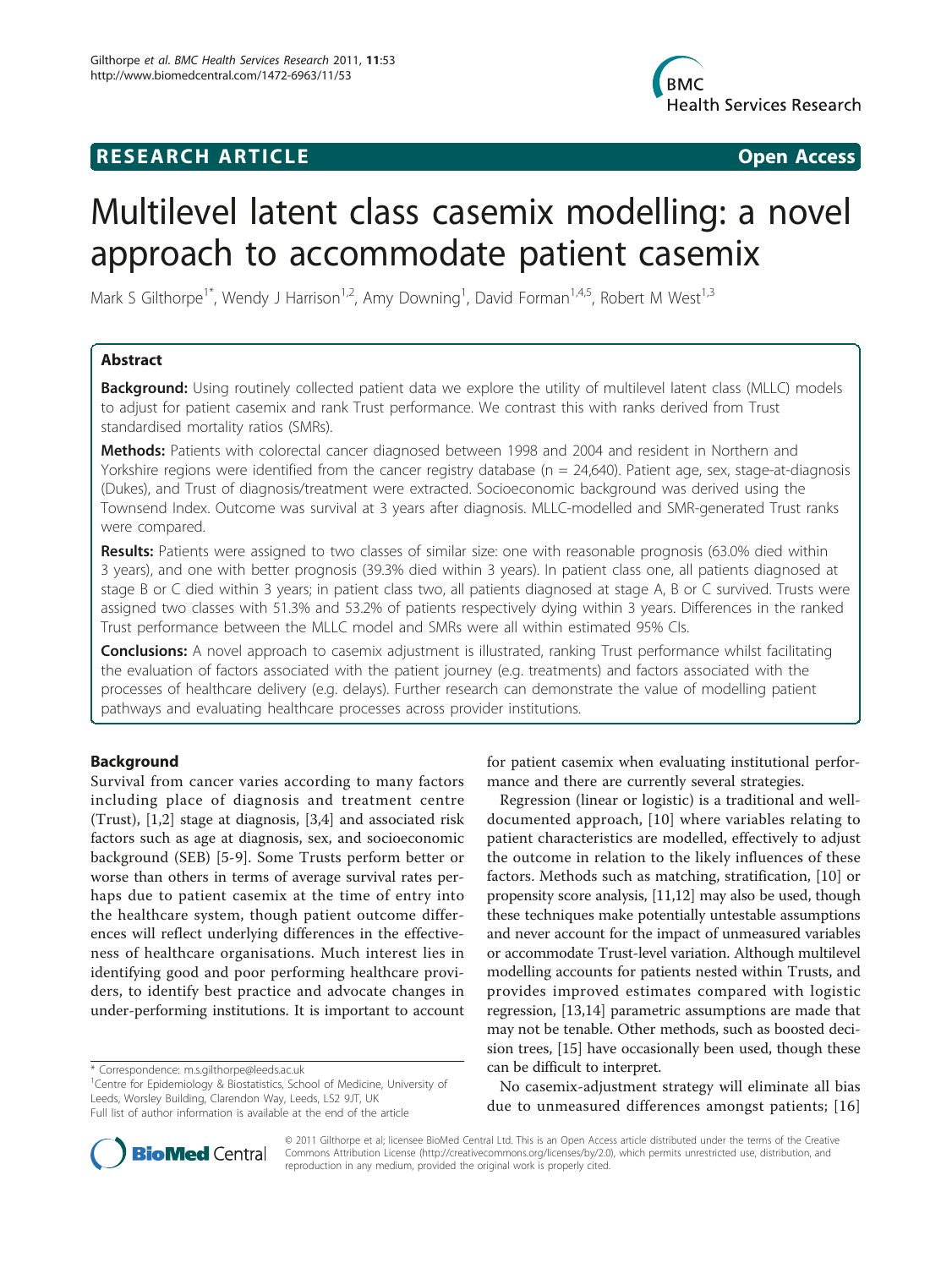## **RESEARCH ARTICLE Example 2018 Open Access**



# Multilevel latent class casemix modelling: a novel approach to accommodate patient casemix

Mark S Gilthorpe<sup>1\*</sup>, Wendy J Harrison<sup>1,2</sup>, Amy Downing<sup>1</sup>, David Forman<sup>1,4,5</sup>, Robert M West<sup>1,3</sup>

## Abstract

Background: Using routinely collected patient data we explore the utility of multilevel latent class (MLLC) models to adjust for patient casemix and rank Trust performance. We contrast this with ranks derived from Trust standardised mortality ratios (SMRs).

Methods: Patients with colorectal cancer diagnosed between 1998 and 2004 and resident in Northern and Yorkshire regions were identified from the cancer registry database ( $n = 24,640$ ). Patient age, sex, stage-at-diagnosis (Dukes), and Trust of diagnosis/treatment were extracted. Socioeconomic background was derived using the Townsend Index. Outcome was survival at 3 years after diagnosis. MLLC-modelled and SMR-generated Trust ranks were compared.

Results: Patients were assigned to two classes of similar size: one with reasonable prognosis (63.0% died within 3 years), and one with better prognosis (39.3% died within 3 years). In patient class one, all patients diagnosed at stage B or C died within 3 years; in patient class two, all patients diagnosed at stage A, B or C survived. Trusts were assigned two classes with 51.3% and 53.2% of patients respectively dying within 3 years. Differences in the ranked Trust performance between the MLLC model and SMRs were all within estimated 95% CIs.

Conclusions: A novel approach to casemix adjustment is illustrated, ranking Trust performance whilst facilitating the evaluation of factors associated with the patient journey (e.g. treatments) and factors associated with the processes of healthcare delivery (e.g. delays). Further research can demonstrate the value of modelling patient pathways and evaluating healthcare processes across provider institutions.

## Background

Survival from cancer varies according to many factors including place of diagnosis and treatment centre (Trust), [\[1,2](#page-5-0)] stage at diagnosis, [[3,4\]](#page-5-0) and associated risk factors such as age at diagnosis, sex, and socioeconomic background (SEB) [[5](#page-5-0)-[9](#page-5-0)]. Some Trusts perform better or worse than others in terms of average survival rates perhaps due to patient casemix at the time of entry into the healthcare system, though patient outcome differences will reflect underlying differences in the effectiveness of healthcare organisations. Much interest lies in identifying good and poor performing healthcare providers, to identify best practice and advocate changes in under-performing institutions. It is important to account

\* Correspondence: [m.s.gilthorpe@leeds.ac.uk](mailto:m.s.gilthorpe@leeds.ac.uk)

<sup>1</sup>Centre for Epidemiology & Biostatistics, School of Medicine, University of Leeds, Worsley Building, Clarendon Way, Leeds, LS2 9JT, UK Full list of author information is available at the end of the article

for patient casemix when evaluating institutional performance and there are currently several strategies.

Regression (linear or logistic) is a traditional and welldocumented approach, [[10](#page-5-0)] where variables relating to patient characteristics are modelled, effectively to adjust the outcome in relation to the likely influences of these factors. Methods such as matching, stratification, [[10\]](#page-5-0) or propensity score analysis, [[11,12](#page-5-0)] may also be used, though these techniques make potentially untestable assumptions and never account for the impact of unmeasured variables or accommodate Trust-level variation. Although multilevel modelling accounts for patients nested within Trusts, and provides improved estimates compared with logistic regression, [\[13,14](#page-5-0)] parametric assumptions are made that may not be tenable. Other methods, such as boosted decision trees, [[15\]](#page-5-0) have occasionally been used, though these can be difficult to interpret.

No casemix-adjustment strategy will eliminate all bias due to unmeasured differences amongst patients; [[16](#page-5-0)]



© 2011 Gilthorpe et al; licensee BioMed Central Ltd. This is an Open Access article distributed under the terms of the Creative Commons Attribution License [\(http://creativecommons.org/licenses/by/2.0](http://creativecommons.org/licenses/by/2.0)), which permits unrestricted use, distribution, and reproduction in any medium, provided the original work is properly cited.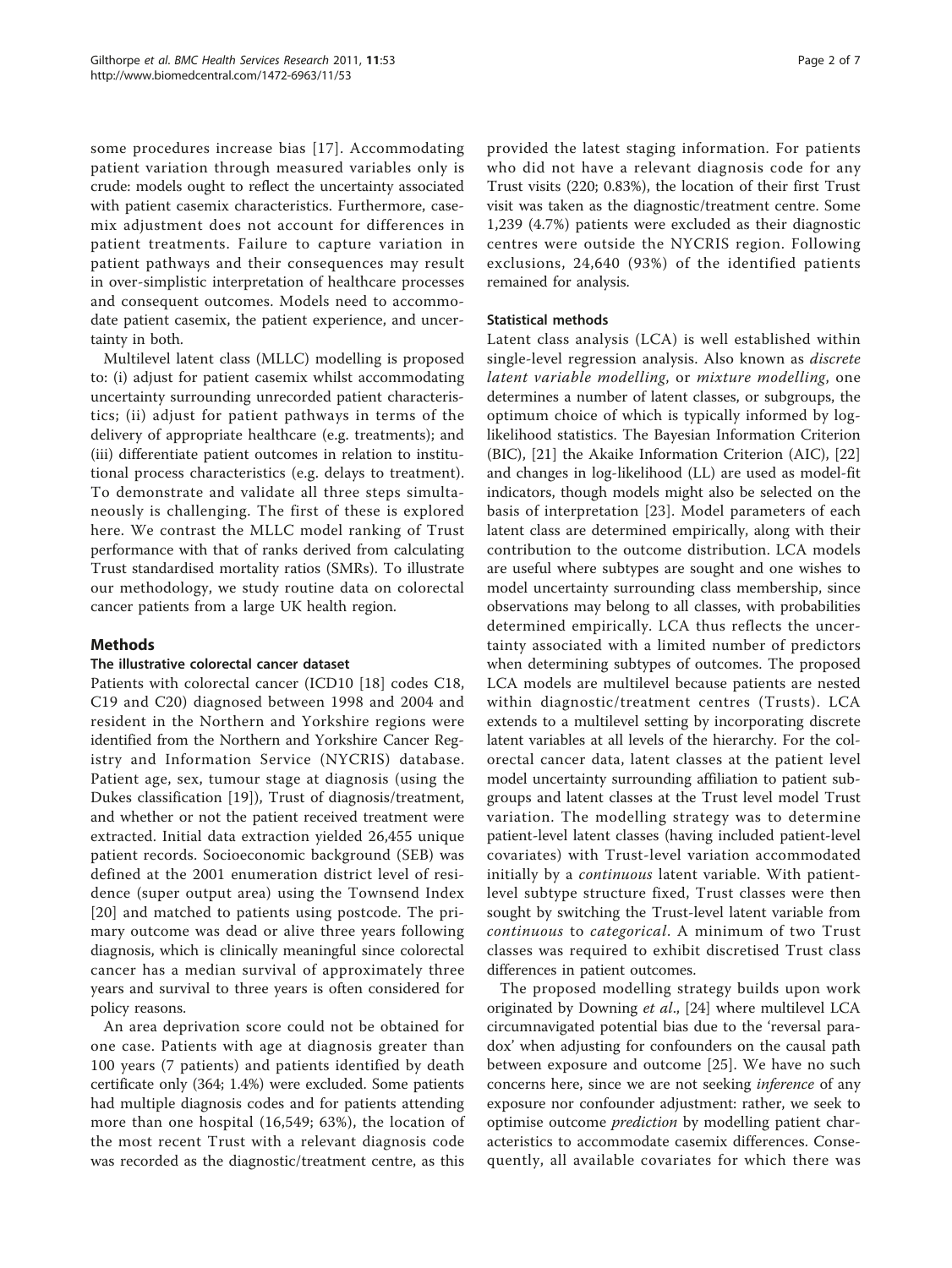some procedures increase bias [[17](#page-5-0)]. Accommodating patient variation through measured variables only is crude: models ought to reflect the uncertainty associated with patient casemix characteristics. Furthermore, casemix adjustment does not account for differences in patient treatments. Failure to capture variation in patient pathways and their consequences may result in over-simplistic interpretation of healthcare processes and consequent outcomes. Models need to accommodate patient casemix, the patient experience, and uncertainty in both.

Multilevel latent class (MLLC) modelling is proposed to: (i) adjust for patient casemix whilst accommodating uncertainty surrounding unrecorded patient characteristics; (ii) adjust for patient pathways in terms of the delivery of appropriate healthcare (e.g. treatments); and (iii) differentiate patient outcomes in relation to institutional process characteristics (e.g. delays to treatment). To demonstrate and validate all three steps simultaneously is challenging. The first of these is explored here. We contrast the MLLC model ranking of Trust performance with that of ranks derived from calculating Trust standardised mortality ratios (SMRs). To illustrate our methodology, we study routine data on colorectal cancer patients from a large UK health region.

## **Methods**

## The illustrative colorectal cancer dataset

Patients with colorectal cancer (ICD10 [[18\]](#page-5-0) codes C18, C19 and C20) diagnosed between 1998 and 2004 and resident in the Northern and Yorkshire regions were identified from the Northern and Yorkshire Cancer Registry and Information Service (NYCRIS) database. Patient age, sex, tumour stage at diagnosis (using the Dukes classification [[19\]](#page-5-0)), Trust of diagnosis/treatment, and whether or not the patient received treatment were extracted. Initial data extraction yielded 26,455 unique patient records. Socioeconomic background (SEB) was defined at the 2001 enumeration district level of residence (super output area) using the Townsend Index [[20](#page-5-0)] and matched to patients using postcode. The primary outcome was dead or alive three years following diagnosis, which is clinically meaningful since colorectal cancer has a median survival of approximately three years and survival to three years is often considered for policy reasons.

An area deprivation score could not be obtained for one case. Patients with age at diagnosis greater than 100 years (7 patients) and patients identified by death certificate only (364; 1.4%) were excluded. Some patients had multiple diagnosis codes and for patients attending more than one hospital (16,549; 63%), the location of the most recent Trust with a relevant diagnosis code was recorded as the diagnostic/treatment centre, as this provided the latest staging information. For patients who did not have a relevant diagnosis code for any Trust visits (220; 0.83%), the location of their first Trust visit was taken as the diagnostic/treatment centre. Some 1,239 (4.7%) patients were excluded as their diagnostic centres were outside the NYCRIS region. Following exclusions, 24,640 (93%) of the identified patients remained for analysis.

## Statistical methods

Latent class analysis (LCA) is well established within single-level regression analysis. Also known as *discrete* latent variable modelling, or mixture modelling, one determines a number of latent classes, or subgroups, the optimum choice of which is typically informed by loglikelihood statistics. The Bayesian Information Criterion (BIC), [[21\]](#page-5-0) the Akaike Information Criterion (AIC), [[22](#page-5-0)] and changes in log-likelihood (LL) are used as model-fit indicators, though models might also be selected on the basis of interpretation [[23\]](#page-5-0). Model parameters of each latent class are determined empirically, along with their contribution to the outcome distribution. LCA models are useful where subtypes are sought and one wishes to model uncertainty surrounding class membership, since observations may belong to all classes, with probabilities determined empirically. LCA thus reflects the uncertainty associated with a limited number of predictors when determining subtypes of outcomes. The proposed LCA models are multilevel because patients are nested within diagnostic/treatment centres (Trusts). LCA extends to a multilevel setting by incorporating discrete latent variables at all levels of the hierarchy. For the colorectal cancer data, latent classes at the patient level model uncertainty surrounding affiliation to patient subgroups and latent classes at the Trust level model Trust variation. The modelling strategy was to determine patient-level latent classes (having included patient-level covariates) with Trust-level variation accommodated initially by a *continuous* latent variable. With patientlevel subtype structure fixed, Trust classes were then sought by switching the Trust-level latent variable from continuous to categorical. A minimum of two Trust classes was required to exhibit discretised Trust class differences in patient outcomes.

The proposed modelling strategy builds upon work originated by Downing *et al.*, [[24\]](#page-6-0) where multilevel LCA circumnavigated potential bias due to the 'reversal paradox' when adjusting for confounders on the causal path between exposure and outcome [[25\]](#page-6-0). We have no such concerns here, since we are not seeking inference of any exposure nor confounder adjustment: rather, we seek to optimise outcome *prediction* by modelling patient characteristics to accommodate casemix differences. Consequently, all available covariates for which there was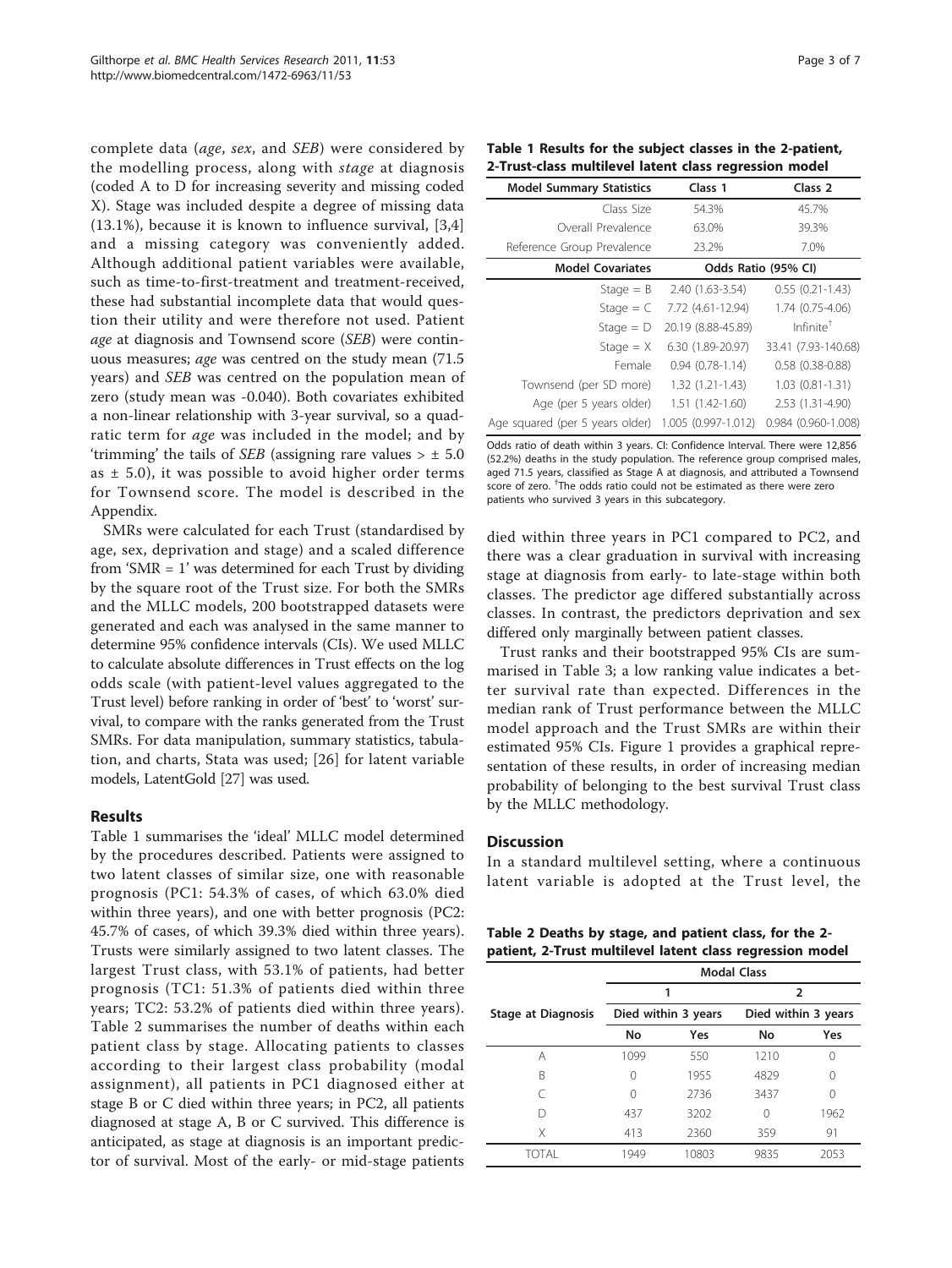complete data (age, sex, and SEB) were considered by the modelling process, along with stage at diagnosis (coded A to D for increasing severity and missing coded X). Stage was included despite a degree of missing data (13.1%), because it is known to influence survival, [[3,4](#page-5-0)] and a missing category was conveniently added. Although additional patient variables were available, such as time-to-first-treatment and treatment-received, these had substantial incomplete data that would question their utility and were therefore not used. Patient age at diagnosis and Townsend score (SEB) were continuous measures; age was centred on the study mean (71.5 years) and SEB was centred on the population mean of zero (study mean was -0.040). Both covariates exhibited a non-linear relationship with 3-year survival, so a quadratic term for age was included in the model; and by 'trimming' the tails of *SEB* (assigning rare values  $> \pm 5.0$ as  $\pm$  5.0), it was possible to avoid higher order terms for Townsend score. The model is described in the Appendix.

SMRs were calculated for each Trust (standardised by age, sex, deprivation and stage) and a scaled difference from 'SMR = 1' was determined for each Trust by dividing by the square root of the Trust size. For both the SMRs and the MLLC models, 200 bootstrapped datasets were generated and each was analysed in the same manner to determine 95% confidence intervals (CIs). We used MLLC to calculate absolute differences in Trust effects on the log odds scale (with patient-level values aggregated to the Trust level) before ranking in order of 'best' to 'worst' survival, to compare with the ranks generated from the Trust SMRs. For data manipulation, summary statistics, tabulation, and charts, Stata was used; [[26](#page-6-0)] for latent variable models, LatentGold [[27](#page-6-0)] was used.

## Results

Table 1 summarises the 'ideal' MLLC model determined by the procedures described. Patients were assigned to two latent classes of similar size, one with reasonable prognosis (PC1: 54.3% of cases, of which 63.0% died within three years), and one with better prognosis (PC2: 45.7% of cases, of which 39.3% died within three years). Trusts were similarly assigned to two latent classes. The largest Trust class, with 53.1% of patients, had better prognosis (TC1: 51.3% of patients died within three years; TC2: 53.2% of patients died within three years). Table 2 summarises the number of deaths within each patient class by stage. Allocating patients to classes according to their largest class probability (modal assignment), all patients in PC1 diagnosed either at stage B or C died within three years; in PC2, all patients diagnosed at stage A, B or C survived. This difference is anticipated, as stage at diagnosis is an important predictor of survival. Most of the early- or mid-stage patients

| Page 3 of |  |  |  |
|-----------|--|--|--|
|-----------|--|--|--|

Table 1 Results for the subject classes in the 2-patient, 2-Trust-class multilevel latent class regression model

| <b>Model Summary Statistics</b> | Class 1             | Class <sub>2</sub>    |  |
|---------------------------------|---------------------|-----------------------|--|
| Class Size                      | 54.3%               | 45.7%                 |  |
| Overall Prevalence              | 63.0%               | 39.3%                 |  |
| Reference Group Prevalence      | 23.2%               | 7.0%                  |  |
| <b>Model Covariates</b>         | Odds Ratio (95% CI) |                       |  |
| Stage $= B$                     | 2.40 (1.63-3.54)    | $0.55(0.21-1.43)$     |  |
| Stage $= C$                     | 7.72 (4.61-12.94)   | 1.74 (0.75-4.06)      |  |
| Stage $= D$                     | 20.19 (8.88-45.89)  | Infinite <sup>†</sup> |  |
| Stage $= X$                     | 6.30 (1.89-20.97)   | 33.41 (7.93-140.68)   |  |
| Female                          | $0.94(0.78-1.14)$   | $0.58(0.38-0.88)$     |  |
| Townsend (per SD more)          | $1.32(1.21-1.43)$   | $1.03(0.81 - 1.31)$   |  |
| Age (per 5 years older)         | 1.51 (1.42-1.60)    | 2.53 (1.31-4.90)      |  |
| Age squared (per 5 years older) | 1.005 (0.997-1.012) | 0.984 (0.960-1.008)   |  |

Odds ratio of death within 3 years. CI: Confidence Interval. There were 12,856 (52.2%) deaths in the study population. The reference group comprised males, aged 71.5 years, classified as Stage A at diagnosis, and attributed a Townsend score of zero. <sup>†</sup>The odds ratio could not be estimated as there were zero patients who survived 3 years in this subcategory.

died within three years in PC1 compared to PC2, and there was a clear graduation in survival with increasing stage at diagnosis from early- to late-stage within both classes. The predictor age differed substantially across classes. In contrast, the predictors deprivation and sex differed only marginally between patient classes.

Trust ranks and their bootstrapped 95% CIs are summarised in Table [3;](#page-3-0) a low ranking value indicates a better survival rate than expected. Differences in the median rank of Trust performance between the MLLC model approach and the Trust SMRs are within their estimated 95% CIs. Figure [1](#page-3-0) provides a graphical representation of these results, in order of increasing median probability of belonging to the best survival Trust class by the MLLC methodology.

#### Discussion

In a standard multilevel setting, where a continuous latent variable is adopted at the Trust level, the

| Table 2 Deaths by stage, and patient class, for the 2-    |  |
|-----------------------------------------------------------|--|
| patient, 2-Trust multilevel latent class regression model |  |

|                    | <b>Modal Class</b>  |       |                          |      |  |
|--------------------|---------------------|-------|--------------------------|------|--|
|                    | Died within 3 years |       | 2<br>Died within 3 years |      |  |
| Stage at Diagnosis |                     |       |                          |      |  |
|                    | No                  | Yes   | No                       | Yes  |  |
| А                  | 1099                | 550   | 1210                     |      |  |
| B                  | 0                   | 1955  | 4829                     | 0    |  |
|                    | $\cap$              | 2736  | 3437                     | ∩    |  |
| D                  | 437                 | 3202  | 0                        | 1962 |  |
| X                  | 413                 | 2360  | 359                      | 91   |  |
| <b>TOTAL</b>       | 1949                | 10803 | 9835                     | 2053 |  |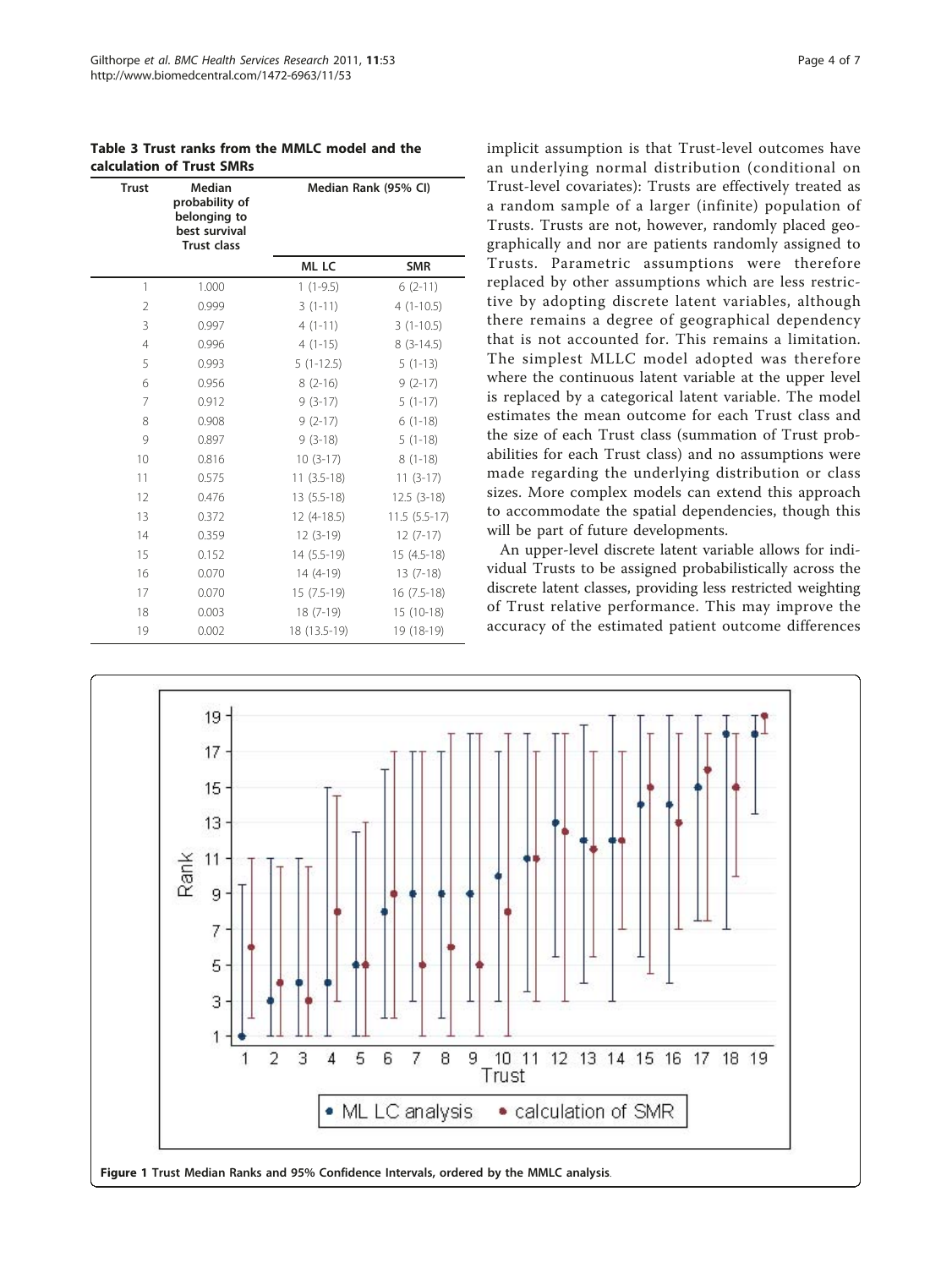<span id="page-3-0"></span>

| Table 3 Trust ranks from the MMLC model and the |  |  |  |  |
|-------------------------------------------------|--|--|--|--|
| calculation of Trust SMRs                       |  |  |  |  |

| <b>Trust</b>   | <b>Median</b><br>probability of<br>belonging to<br>best survival<br><b>Trust class</b> | Median Rank (95% CI) |                |
|----------------|----------------------------------------------------------------------------------------|----------------------|----------------|
|                |                                                                                        | ML LC                | <b>SMR</b>     |
| 1              | 1.000                                                                                  | $1(1-9.5)$           | $6(2-11)$      |
| $\overline{2}$ | 0.999                                                                                  | $3(1-11)$            | $4(1-10.5)$    |
| 3              | 0.997                                                                                  | $4(1-11)$            | $3(1-10.5)$    |
| $\overline{4}$ | 0.996                                                                                  | $4(1-15)$            | $8(3-14.5)$    |
| 5              | 0.993                                                                                  | $5(1-12.5)$          | $5(1-13)$      |
| 6              | 0.956                                                                                  | $8(2-16)$            | $9(2-17)$      |
| 7              | 0.912                                                                                  | $9(3-17)$            | $5(1-17)$      |
| 8              | 0.908                                                                                  | $9(2-17)$            | $6(1-18)$      |
| 9              | 0.897                                                                                  | $9(3-18)$            | $5(1-18)$      |
| 10             | 0.816                                                                                  | $10(3-17)$           | $8(1-18)$      |
| 11             | 0.575                                                                                  | $11(3.5-18)$         | $11(3-17)$     |
| 12             | 0.476                                                                                  | 13 (5.5-18)          | $12.5(3-18)$   |
| 13             | 0.372                                                                                  | $12(4-18.5)$         | $11.5(5.5-17)$ |
| 14             | 0.359                                                                                  | $12(3-19)$           | $12(7-17)$     |
| 15             | 0.152                                                                                  | $14(5.5-19)$         | $15(4.5-18)$   |
| 16             | 0.070                                                                                  | $14(4-19)$           | $13(7-18)$     |
| 17             | 0.070                                                                                  | $15(7.5-19)$         | $16(7.5-18)$   |
| 18             | 0.003                                                                                  | $18(7-19)$           | 15 (10-18)     |
| 19             | 0.002                                                                                  | 18 (13.5-19)         | 19 (18-19)     |

implicit assumption is that Trust-level outcomes have an underlying normal distribution (conditional on Trust-level covariates): Trusts are effectively treated as a random sample of a larger (infinite) population of Trusts. Trusts are not, however, randomly placed geographically and nor are patients randomly assigned to Trusts. Parametric assumptions were therefore replaced by other assumptions which are less restrictive by adopting discrete latent variables, although there remains a degree of geographical dependency that is not accounted for. This remains a limitation. The simplest MLLC model adopted was therefore where the continuous latent variable at the upper level is replaced by a categorical latent variable. The model estimates the mean outcome for each Trust class and the size of each Trust class (summation of Trust probabilities for each Trust class) and no assumptions were made regarding the underlying distribution or class sizes. More complex models can extend this approach to accommodate the spatial dependencies, though this will be part of future developments.

An upper-level discrete latent variable allows for individual Trusts to be assigned probabilistically across the discrete latent classes, providing less restricted weighting of Trust relative performance. This may improve the accuracy of the estimated patient outcome differences

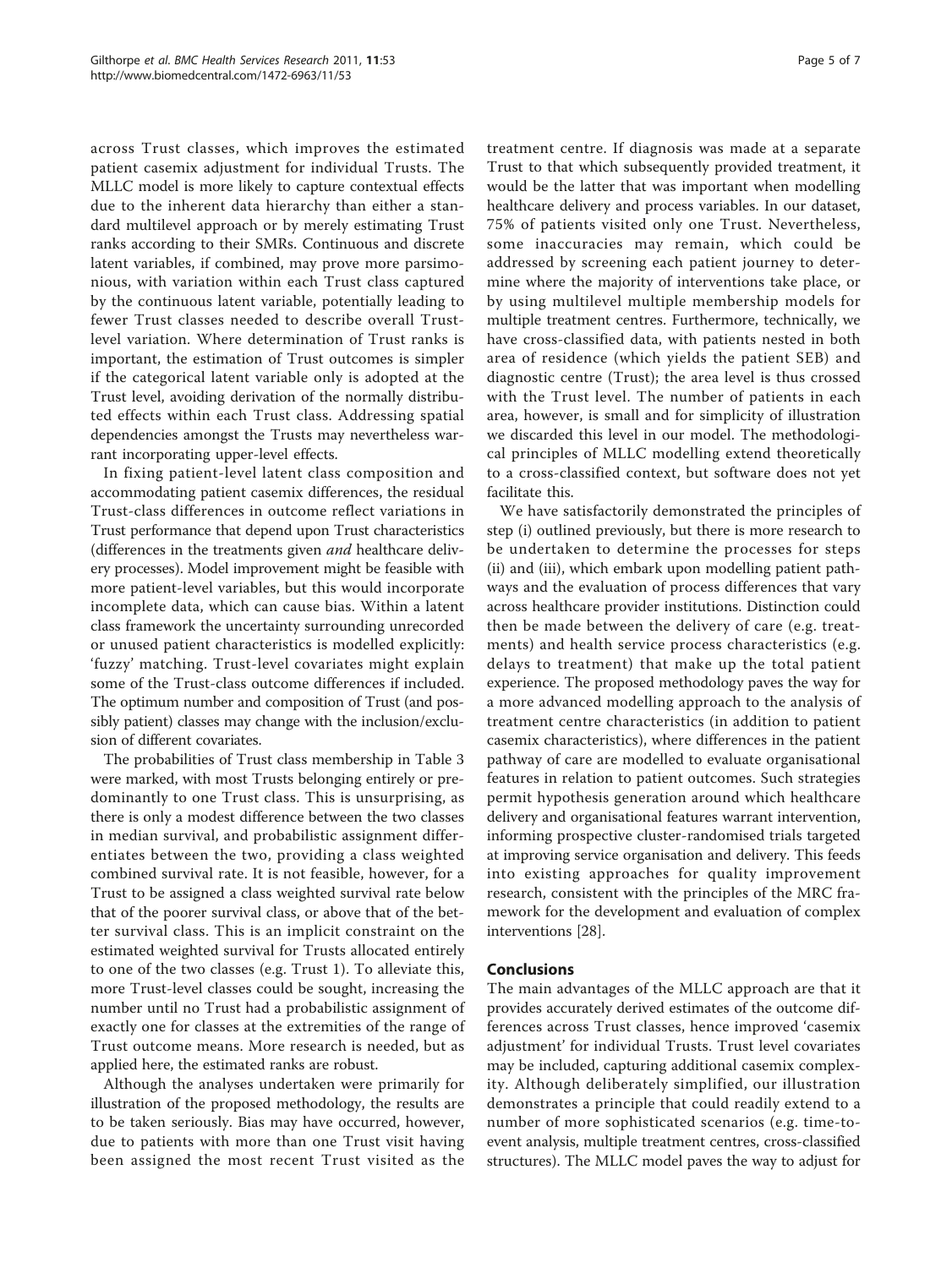across Trust classes, which improves the estimated patient casemix adjustment for individual Trusts. The MLLC model is more likely to capture contextual effects due to the inherent data hierarchy than either a standard multilevel approach or by merely estimating Trust ranks according to their SMRs. Continuous and discrete latent variables, if combined, may prove more parsimonious, with variation within each Trust class captured by the continuous latent variable, potentially leading to fewer Trust classes needed to describe overall Trustlevel variation. Where determination of Trust ranks is important, the estimation of Trust outcomes is simpler if the categorical latent variable only is adopted at the Trust level, avoiding derivation of the normally distributed effects within each Trust class. Addressing spatial dependencies amongst the Trusts may nevertheless warrant incorporating upper-level effects.

In fixing patient-level latent class composition and accommodating patient casemix differences, the residual Trust-class differences in outcome reflect variations in Trust performance that depend upon Trust characteristics (differences in the treatments given and healthcare delivery processes). Model improvement might be feasible with more patient-level variables, but this would incorporate incomplete data, which can cause bias. Within a latent class framework the uncertainty surrounding unrecorded or unused patient characteristics is modelled explicitly: 'fuzzy' matching. Trust-level covariates might explain some of the Trust-class outcome differences if included. The optimum number and composition of Trust (and possibly patient) classes may change with the inclusion/exclusion of different covariates.

The probabilities of Trust class membership in Table [3](#page-3-0) were marked, with most Trusts belonging entirely or predominantly to one Trust class. This is unsurprising, as there is only a modest difference between the two classes in median survival, and probabilistic assignment differentiates between the two, providing a class weighted combined survival rate. It is not feasible, however, for a Trust to be assigned a class weighted survival rate below that of the poorer survival class, or above that of the better survival class. This is an implicit constraint on the estimated weighted survival for Trusts allocated entirely to one of the two classes (e.g. Trust 1). To alleviate this, more Trust-level classes could be sought, increasing the number until no Trust had a probabilistic assignment of exactly one for classes at the extremities of the range of Trust outcome means. More research is needed, but as applied here, the estimated ranks are robust.

Although the analyses undertaken were primarily for illustration of the proposed methodology, the results are to be taken seriously. Bias may have occurred, however, due to patients with more than one Trust visit having been assigned the most recent Trust visited as the

treatment centre. If diagnosis was made at a separate Trust to that which subsequently provided treatment, it would be the latter that was important when modelling healthcare delivery and process variables. In our dataset, 75% of patients visited only one Trust. Nevertheless, some inaccuracies may remain, which could be addressed by screening each patient journey to determine where the majority of interventions take place, or by using multilevel multiple membership models for multiple treatment centres. Furthermore, technically, we have cross-classified data, with patients nested in both area of residence (which yields the patient SEB) and diagnostic centre (Trust); the area level is thus crossed with the Trust level. The number of patients in each area, however, is small and for simplicity of illustration we discarded this level in our model. The methodological principles of MLLC modelling extend theoretically to a cross-classified context, but software does not yet facilitate this.

We have satisfactorily demonstrated the principles of step (i) outlined previously, but there is more research to be undertaken to determine the processes for steps (ii) and (iii), which embark upon modelling patient pathways and the evaluation of process differences that vary across healthcare provider institutions. Distinction could then be made between the delivery of care (e.g. treatments) and health service process characteristics (e.g. delays to treatment) that make up the total patient experience. The proposed methodology paves the way for a more advanced modelling approach to the analysis of treatment centre characteristics (in addition to patient casemix characteristics), where differences in the patient pathway of care are modelled to evaluate organisational features in relation to patient outcomes. Such strategies permit hypothesis generation around which healthcare delivery and organisational features warrant intervention, informing prospective cluster-randomised trials targeted at improving service organisation and delivery. This feeds into existing approaches for quality improvement research, consistent with the principles of the MRC framework for the development and evaluation of complex interventions [[28\]](#page-6-0).

## Conclusions

The main advantages of the MLLC approach are that it provides accurately derived estimates of the outcome differences across Trust classes, hence improved 'casemix adjustment' for individual Trusts. Trust level covariates may be included, capturing additional casemix complexity. Although deliberately simplified, our illustration demonstrates a principle that could readily extend to a number of more sophisticated scenarios (e.g. time-toevent analysis, multiple treatment centres, cross-classified structures). The MLLC model paves the way to adjust for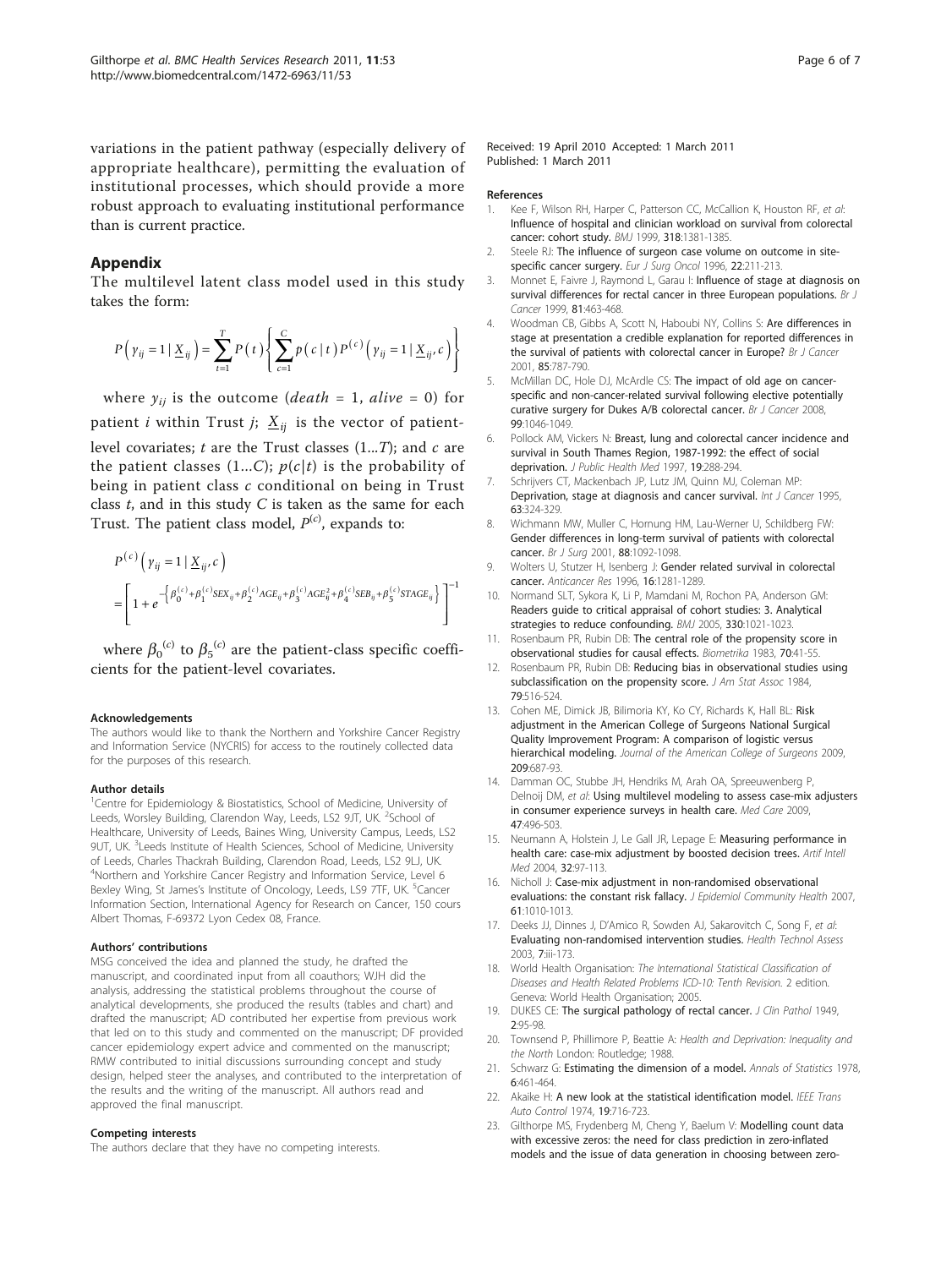<span id="page-5-0"></span>variations in the patient pathway (especially delivery of appropriate healthcare), permitting the evaluation of institutional processes, which should provide a more robust approach to evaluating institutional performance than is current practice.

#### Appendix

The multilevel latent class model used in this study takes the form:

$$
P\left(\gamma_{ij}=1\,\big|\,\underline{X}_{ij}\right)=\sum_{t=1}^T P\left(\,t\,\right)\left\{\sum_{c=1}^C p\left(\,c\,\big|\,t\,\right)P^{(c)}\left(\,\gamma_{ij}=1\,\big|\,\underline{X}_{ij},c\,\right)\right\}
$$

where  $y_{ii}$  is the outcome (*death* = 1, *alive* = 0) for patient *i* within Trust *j*;  $\underline{X}_{ii}$  is the vector of patientlevel covariates;  $t$  are the Trust classes  $(1...T)$ ; and  $c$  are the patient classes (1...C);  $p(c|t)$  is the probability of being in patient class  $c$  conditional on being in Trust class  $t$ , and in this study  $C$  is taken as the same for each Trust. The patient class model,  $P^{(c)}$ , expands to:

$$
P^{(c)}(\gamma_{ij} = 1 | \underline{X}_{ij}, c)
$$
  
=  $\left[1 + e^{-\left\{\beta_0^{(c)} + \beta_1^{(c)}SEX_{ij} + \beta_2^{(c)}AGE_{ij} + \beta_3^{(c)}AGE_{ij} + \beta_4^{(c)}SEB_{ij} + \beta_5^{(c)}STAGE_{ij}}\right\}\right]^{-1}$ 

where  $\beta_0^{\, (c)}$  to  $\beta_5^{\, (c)}$  are the patient-class specific coefficients for the patient-level covariates.

#### Acknowledgements

The authors would like to thank the Northern and Yorkshire Cancer Registry and Information Service (NYCRIS) for access to the routinely collected data for the purposes of this research.

#### Author details

<sup>1</sup>Centre for Epidemiology & Biostatistics, School of Medicine, University of Leeds, Worsley Building, Clarendon Way, Leeds, LS2 9JT, UK. <sup>2</sup>School of Healthcare, University of Leeds, Baines Wing, University Campus, Leeds, LS2 9UT, UK. <sup>3</sup>Leeds Institute of Health Sciences, School of Medicine, University of Leeds, Charles Thackrah Building, Clarendon Road, Leeds, LS2 9LJ, UK. 4 Northern and Yorkshire Cancer Registry and Information Service, Level 6 Bexley Wing, St James's Institute of Oncology, Leeds, LS9 7TF, UK. <sup>5</sup>Cancer Information Section, International Agency for Research on Cancer, 150 cours Albert Thomas, F-69372 Lyon Cedex 08, France.

#### Authors' contributions

MSG conceived the idea and planned the study, he drafted the manuscript, and coordinated input from all coauthors; WJH did the analysis, addressing the statistical problems throughout the course of analytical developments, she produced the results (tables and chart) and drafted the manuscript; AD contributed her expertise from previous work that led on to this study and commented on the manuscript; DF provided cancer epidemiology expert advice and commented on the manuscript; RMW contributed to initial discussions surrounding concept and study design, helped steer the analyses, and contributed to the interpretation of the results and the writing of the manuscript. All authors read and approved the final manuscript.

#### Competing interests

The authors declare that they have no competing interests.

Received: 19 April 2010 Accepted: 1 March 2011 Published: 1 March 2011

#### References

- 1. Kee F, Wilson RH, Harper C, Patterson CC, McCallion K, Houston RF, et al: [Influence of hospital and clinician workload on survival from colorectal](http://www.ncbi.nlm.nih.gov/pubmed/10334746?dopt=Abstract) [cancer: cohort study.](http://www.ncbi.nlm.nih.gov/pubmed/10334746?dopt=Abstract) BMJ 1999, 318:1381-1385.
- 2. Steele RJ: [The influence of surgeon case volume on outcome in site](http://www.ncbi.nlm.nih.gov/pubmed/8654597?dopt=Abstract)[specific cancer surgery.](http://www.ncbi.nlm.nih.gov/pubmed/8654597?dopt=Abstract) Eur J Surg Oncol 1996, 22:211-213.
- 3. Monnet E, Faivre J, Raymond L, Garau I: [Influence of stage at diagnosis on](http://www.ncbi.nlm.nih.gov/pubmed/10507771?dopt=Abstract) [survival differences for rectal cancer in three European populations.](http://www.ncbi.nlm.nih.gov/pubmed/10507771?dopt=Abstract) Br J Cancer 1999, 81:463-468.
- 4. Woodman CB, Gibbs A, Scott N, Haboubi NY, Collins S: [Are differences in](http://www.ncbi.nlm.nih.gov/pubmed/11556824?dopt=Abstract) [stage at presentation a credible explanation for reported differences in](http://www.ncbi.nlm.nih.gov/pubmed/11556824?dopt=Abstract) [the survival of patients with colorectal cancer in Europe?](http://www.ncbi.nlm.nih.gov/pubmed/11556824?dopt=Abstract) Br J Cancer 2001, 85:787-790.
- McMillan DC, Hole DJ, McArdle CS: [The impact of old age on cancer](http://www.ncbi.nlm.nih.gov/pubmed/18797465?dopt=Abstract)[specific and non-cancer-related survival following elective potentially](http://www.ncbi.nlm.nih.gov/pubmed/18797465?dopt=Abstract) [curative surgery for Dukes A/B colorectal cancer.](http://www.ncbi.nlm.nih.gov/pubmed/18797465?dopt=Abstract) Br J Cancer 2008, 99:1046-1049.
- Pollock AM, Vickers N: [Breast, lung and colorectal cancer incidence and](http://www.ncbi.nlm.nih.gov/pubmed/9347452?dopt=Abstract) [survival in South Thames Region, 1987-1992: the effect of social](http://www.ncbi.nlm.nih.gov/pubmed/9347452?dopt=Abstract) [deprivation.](http://www.ncbi.nlm.nih.gov/pubmed/9347452?dopt=Abstract) J Public Health Med 1997, 19:288-294.
- 7. Schrijvers CT, Mackenbach JP, Lutz JM, Quinn MJ, Coleman MP: [Deprivation, stage at diagnosis and cancer survival.](http://www.ncbi.nlm.nih.gov/pubmed/7591225?dopt=Abstract) Int J Cancer 1995, 63:324-329.
- 8. Wichmann MW, Muller C, Hornung HM, Lau-Werner U, Schildberg FW: [Gender differences in long-term survival of patients with colorectal](http://www.ncbi.nlm.nih.gov/pubmed/11488795?dopt=Abstract) [cancer.](http://www.ncbi.nlm.nih.gov/pubmed/11488795?dopt=Abstract) Br J Surg 2001, 88:1092-1098.
- 9. Wolters U, Stutzer H, Isenberg J: [Gender related survival in colorectal](http://www.ncbi.nlm.nih.gov/pubmed/8702251?dopt=Abstract) [cancer.](http://www.ncbi.nlm.nih.gov/pubmed/8702251?dopt=Abstract) Anticancer Res 1996, 16:1281-1289.
- 10. Normand SLT, Sykora K, Li P, Mamdani M, Rochon PA, Anderson GM: [Readers guide to critical appraisal of cohort studies: 3. Analytical](http://www.ncbi.nlm.nih.gov/pubmed/15860831?dopt=Abstract) [strategies to reduce confounding.](http://www.ncbi.nlm.nih.gov/pubmed/15860831?dopt=Abstract) BMJ 2005, 330:1021-1023.
- 11. Rosenbaum PR, Rubin DB: The central role of the propensity score in observational studies for causal effects. Biometrika 1983, 70:41-55.
- 12. Rosenbaum PR, Rubin DB: Reducing bias in observational studies using subclassification on the propensity score. J Am Stat Assoc 1984, 79:516-524.
- 13. Cohen ME, Dimick JB, Bilimoria KY, Ko CY, Richards K, Hall BL: [Risk](http://www.ncbi.nlm.nih.gov/pubmed/19959035?dopt=Abstract) [adjustment in the American College of Surgeons National Surgical](http://www.ncbi.nlm.nih.gov/pubmed/19959035?dopt=Abstract) [Quality Improvement Program: A comparison of logistic versus](http://www.ncbi.nlm.nih.gov/pubmed/19959035?dopt=Abstract) [hierarchical modeling.](http://www.ncbi.nlm.nih.gov/pubmed/19959035?dopt=Abstract) Journal of the American College of Surgeons 2009, 209:687-93.
- 14. Damman OC, Stubbe JH, Hendriks M, Arah OA, Spreeuwenberg P, Delnoij DM, et al: [Using multilevel modeling to assess case-mix adjusters](http://www.ncbi.nlm.nih.gov/pubmed/19238105?dopt=Abstract) [in consumer experience surveys in health care.](http://www.ncbi.nlm.nih.gov/pubmed/19238105?dopt=Abstract) Med Care 2009, 47:496-503.
- 15. Neumann A, Holstein J, Le Gall JR, Lepage E: Measuring [performance in](http://www.ncbi.nlm.nih.gov/pubmed/15364094?dopt=Abstract) [health care: case-mix adjustment by boosted decision trees.](http://www.ncbi.nlm.nih.gov/pubmed/15364094?dopt=Abstract) Artif Intell Med 2004, 32:97-113.
- 16. Nicholl J: [Case-mix adjustment in non-randomised observational](http://www.ncbi.nlm.nih.gov/pubmed/17933961?dopt=Abstract) [evaluations: the constant risk fallacy.](http://www.ncbi.nlm.nih.gov/pubmed/17933961?dopt=Abstract) J Epidemiol Community Health 2007, 61:1010-1013.
- 17. Deeks JJ, Dinnes J, D'Amico R, Sowden AJ, Sakarovitch C, Song F, et al: [Evaluating non-randomised intervention studies.](http://www.ncbi.nlm.nih.gov/pubmed/14499048?dopt=Abstract) Health Technol Assess 2003, 7:iii-173.
- 18. World Health Organisation: The International Statistical Classification of Diseases and Health Related Problems ICD-10: Tenth Revision. 2 edition. Geneva: World Health Organisation; 2005.
- 19. DUKES CE: The surgical pathology of rectal cancer. J Clin Pathol 1949, 2:95-98.
- 20. Townsend P, Phillimore P, Beattie A: Health and Deprivation: Inequality and the North London: Routledge; 1988.
- 21. Schwarz G: Estimating the dimension of a model. Annals of Statistics 1978, 6:461-464.
- 22. Akaike H: A new look at the statistical identification model. IEEE Trans Auto Control 1974, 19:716-723.
- 23. Gilthorpe MS, Frydenberg M, Cheng Y, Baelum V: [Modelling count data](http://www.ncbi.nlm.nih.gov/pubmed/19902494?dopt=Abstract) [with excessive zeros: the need for class prediction in zero-inflated](http://www.ncbi.nlm.nih.gov/pubmed/19902494?dopt=Abstract) [models and the issue of data generation in choosing between zero-](http://www.ncbi.nlm.nih.gov/pubmed/19902494?dopt=Abstract)